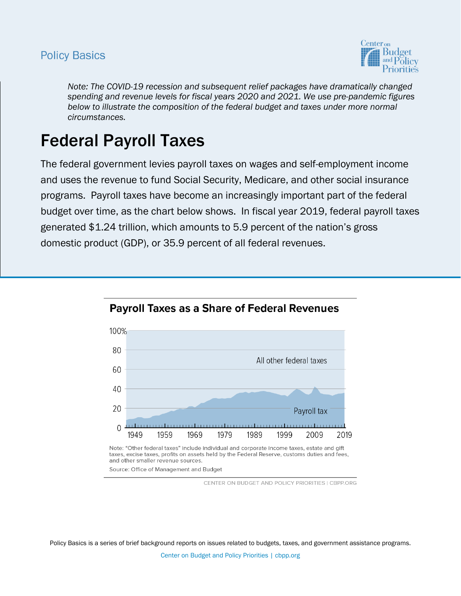## **Policy Basics**



*Note: The COVID-19 recession and subsequent relief packages have dramatically changed spending and revenue levels for fiscal years 2020 and 2021. We use pre-pandemic figures*  below to illustrate the composition of the federal budget and taxes under more normal *circumstances.* 

# Federal Payroll Taxes

The federal government levies payroll taxes on wages and self-employment income and uses the revenue to fund Social Security, Medicare, and other social insurance programs. Payroll taxes have become an increasingly important part of the federal budget over time, as the chart below shows. In fiscal year 2019, federal payroll taxes generated \$1.24 trillion, which amounts to 5.9 percent of the nation's gross domestic product (GDP), or 35.9 percent of all federal revenues.



**Payroll Taxes as a Share of Federal Revenues** 

Note: "Other federal taxes" include individual and corporate income taxes, estate and gift taxes, excise taxes, profits on assets held by the Federal Reserve, customs duties and fees, and other smaller revenue sources.

Source: Office of Management and Budget

CENTER ON BUDGET AND POLICY PRIORITIES | CBPP.ORG

Policy Basics is a series of brief background reports on issues related to budgets, taxes, and government assistance programs. Center on Budget and Policy Priorities | cbpp.org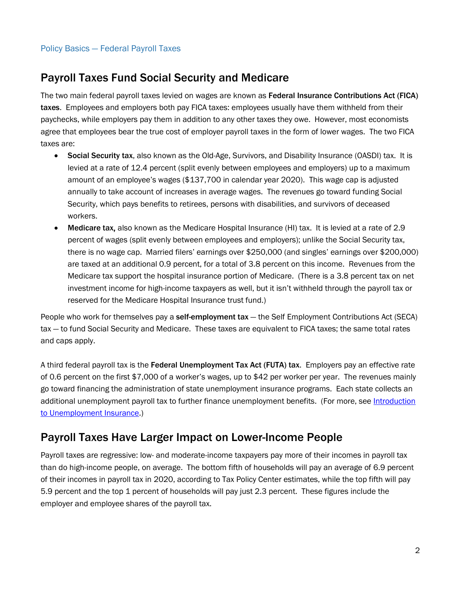# Payroll Taxes Fund Social Security and Medicare

The two main federal payroll taxes levied on wages are known as Federal Insurance Contributions Act (FICA) taxes. Employees and employers both pay FICA taxes: employees usually have them withheld from their paychecks, while employers pay them in addition to any other taxes they owe. However, most economists agree that employees bear the true cost of employer payroll taxes in the form of lower wages. The two FICA taxes are:

- Social Security tax, also known as the Old-Age, Survivors, and Disability Insurance (OASDI) tax. It is levied at a rate of 12.4 percent (split evenly between employees and employers) up to a maximum amount of an employee's wages (\$137,700 in calendar year 2020). This wage cap is adjusted annually to take account of increases in average wages. The revenues go toward funding Social Security, which pays benefits to retirees, persons with disabilities, and survivors of deceased workers.
- Medicare tax, also known as the Medicare Hospital Insurance (HI) tax. It is levied at a rate of 2.9 percent of wages (split evenly between employees and employers); unlike the Social Security tax, there is no wage cap. Married filers' earnings over \$250,000 (and singles' earnings over \$200,000) are taxed at an additional 0.9 percent, for a total of 3.8 percent on this income. Revenues from the Medicare tax support the hospital insurance portion of Medicare. (There is a 3.8 percent tax on net investment income for high-income taxpayers as well, but it isn't withheld through the payroll tax or reserved for the Medicare Hospital Insurance trust fund.)

People who work for themselves pay a self-employment tax - the Self Employment Contributions Act (SECA) tax — to fund Social Security and Medicare. These taxes are equivalent to FICA taxes; the same total rates and caps apply.

A third federal payroll tax is the Federal Unemployment Tax Act (FUTA) tax. Employers pay an effective rate of 0.6 percent on the first \$7,000 of a worker's wages, up to \$42 per worker per year. The revenues mainly go toward financing the administration of state unemployment insurance programs. Each state collects an additional unemployment payroll tax to further finance unemployment benefits. (For more, see Introduction [to Unemployment Insurance.](http://www.cbpp.org/cms/index.cfm?fa=view&id=1466))

### Payroll Taxes Have Larger Impact on Lower-Income People

Payroll taxes are regressive: low- and moderate-income taxpayers pay more of their incomes in payroll tax than do high-income people, on average. The bottom fifth of households will pay an average of 6.9 percent of their incomes in payroll tax in 2020, according to Tax Policy Center estimates, while the top fifth will pay 5.9 percent and the top 1 percent of households will pay just 2.3 percent. These figures include the employer and employee shares of the payroll tax.